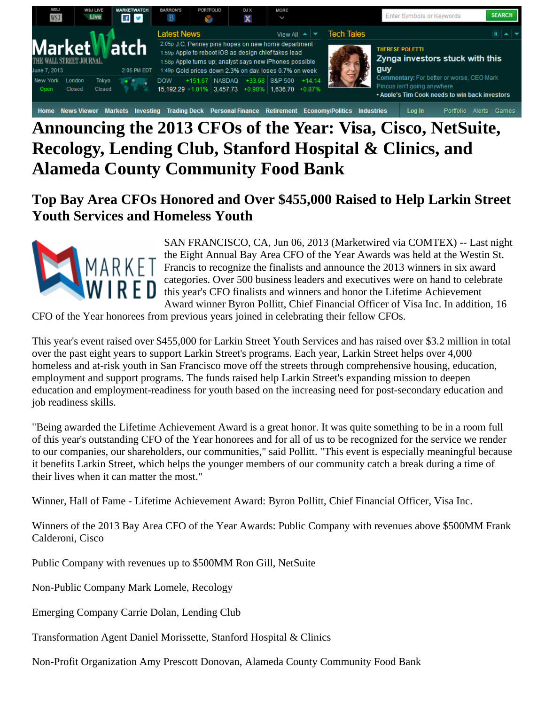

## Home News Viewer Markets Investing Trading Deck Personal Finance Retirement Economy/Politics Industries Log In Portfolio Alerts Games **Announcing the 2013 CFOs of the Year: Visa, Cisco, NetSuite, Recology, Lending Club, Stanford Hospital & Clinics, and Alameda County Community Food Bank**

**Top Bay Area CFOs Honored and Over \$455,000 Raised to Help Larkin Street Youth Services and Homeless Youth** 



SAN FRANCISCO, CA, Jun 06, 2013 (Marketwired via COMTEX) -- Last night the Eight Annual Bay Area CFO of the Year Awards was held at the Westin St. Francis to recognize the finalists and announce the 2013 winners in six award categories. Over 500 business leaders and executives were on hand to celebrate this year's CFO finalists and winners and honor the Lifetime Achievement Award winner Byron Pollitt, Chief Financial Officer of Visa Inc. In addition, 16

CFO of the Year honorees from previous years joined in celebrating their fellow CFOs.

This year's event raised over \$455,000 for Larkin Street Youth Services and has raised over \$3.2 million in total over the past eight years to support Larkin Street's programs. Each year, Larkin Street helps over 4,000 homeless and at-risk youth in San Francisco move off the streets through comprehensive housing, education, employment and support programs. The funds raised help Larkin Street's expanding mission to deepen education and employment-readiness for youth based on the increasing need for post-secondary education and job readiness skills.

"Being awarded the Lifetime Achievement Award is a great honor. It was quite something to be in a room full of this year's outstanding CFO of the Year honorees and for all of us to be recognized for the service we render to our companies, our shareholders, our communities," said Pollitt. "This event is especially meaningful because it benefits Larkin Street, which helps the younger members of our community catch a break during a time of their lives when it can matter the most."

Winner, Hall of Fame - Lifetime Achievement Award: Byron Pollitt, Chief Financial Officer, Visa Inc.

Winners of the 2013 Bay Area CFO of the Year Awards: Public Company with revenues above \$500MM Frank Calderoni, Cisco

Public Company with revenues up to \$500MM Ron Gill, NetSuite

Non-Public Company Mark Lomele, Recology

Emerging Company Carrie Dolan, Lending Club

Transformation Agent Daniel Morissette, Stanford Hospital & Clinics

Non-Profit Organization Amy Prescott Donovan, Alameda County Community Food Bank